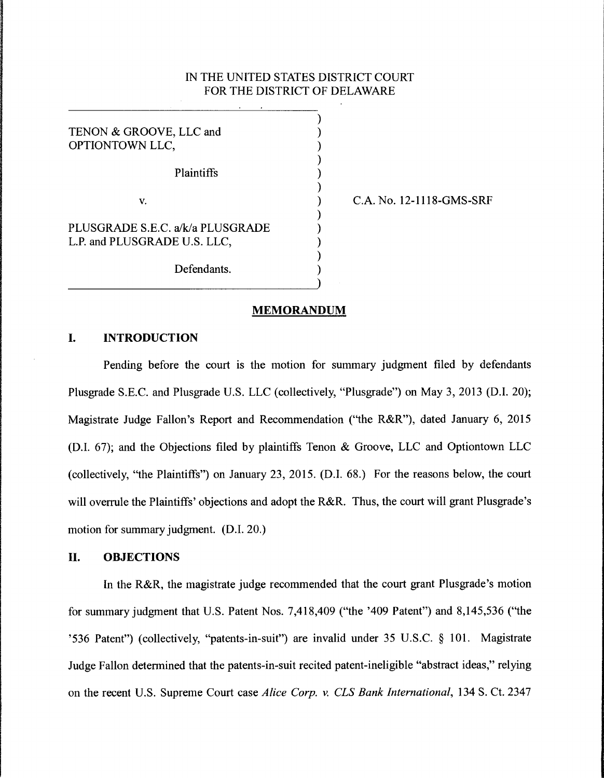## IN THE UNITED STATES DISTRICT COURT FOR THE DISTRICT OF DELAWARE

) ) ) ) ) ) ) ) ) ) ) )

TENON & GROOVE, LLC and OPTIONTOWN LLC, Plaintiffs V. PLUSGRADE S.E.C. a/k/a PLUSGRADE L.P. and PLUSGRADE U.S. LLC,

Defendants.

C.A. No. 12-1118-GMS-SRF

**MEMORANDUM** 

### **I. INTRODUCTION**

Pending before the court is the motion for summary judgment filed by defendants Plusgrade S.E.C. and Plusgrade U.S. LLC (collectively, "Plusgrade") on May 3, 2013 (D.I. 20); Magistrate Judge Fallon's Report and Recommendation ("the R&R"), dated January 6, 2015 (D.I. 67); and the Objections filed by plaintiffs Tenon & Groove, LLC and Optiontown LLC (collectively, "the Plaintiffs") on January 23, 2015. (D.I. 68.) For the reasons below, the court will overrule the Plaintiffs' objections and adopt the R&R. Thus, the court will grant Plusgrade's motion for summary judgment. (D.I. 20.)

#### **II. OBJECTIONS**

In the R&R, the magistrate judge recommended that the court grant Plusgrade's motion for summary judgment that U.S. Patent Nos. 7 ,418,409 ("the '409 Patent") and 8, 145,536 ("the '536 Patent") (collectively, "patents-in-suit") are invalid under 35 U .S.C. § 101. Magistrate Judge Fallon determined that the patents-in-suit recited patent-ineligible "abstract ideas," relying on the recent U.S. Supreme Court case *Alice Corp. v. CLS Bank International,* 134 S. Ct. 2347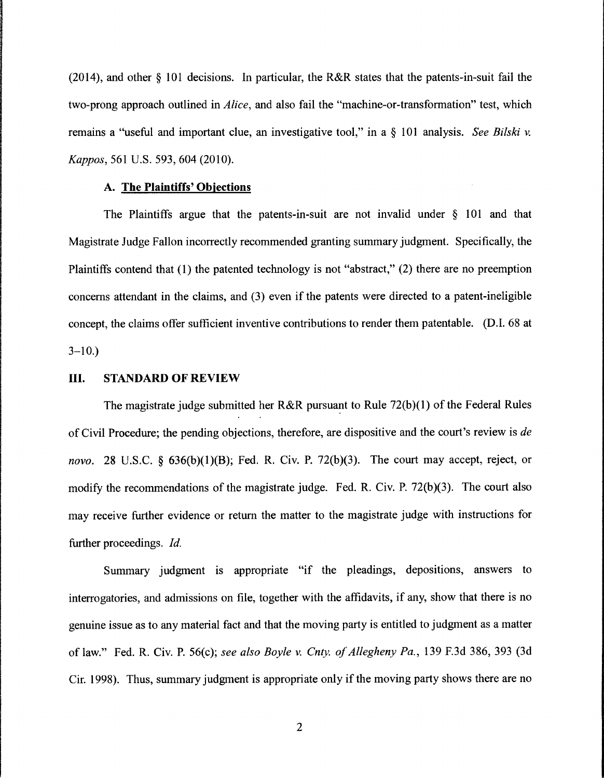(2014), and other § 101 decisions. In particular, the R&R states that the patents-in-suit fail the two-prong approach outlined in *Alice,* and also fail the "machine-or-transformation" test, which remains a ''useful and important clue, an investigative tool," in a § 101 analysis. *See Bilski v. Kappas,* 561 U.S. 593, 604 (2010).

#### A. **The Plaintiffs' Objections**

The Plaintiffs argue that the patents-in-suit are not invalid under § 101 and that Magistrate Judge Fallon incorrectly recommended granting summary judgment. Specifically, the Plaintiffs contend that  $(1)$  the patented technology is not "abstract,"  $(2)$  there are no preemption concerns attendant in the claims, and (3) even if the patents were directed to a patent-ineligible concept, the claims offer sufficient inventive contributions to render them patentable. (D.I. 68 at  $3 - 10.$ 

#### III. **STANDARD OF REVIEW**

The magistrate judge submitted her R&R pursuant to Rule 72(b)(1) of the Federal Rules of Civil Procedure; the pending objections, therefore, are dispositive and the court's review is *de novo.* 28 U.S.C. § 636(b)(1)(B); Fed. R. Civ. P. 72(b)(3). The court may accept, reject, or modify the recommendations of the magistrate judge. Fed. R. Civ. P. 72(b)(3). The court also may receive further evidence or return the matter to the magistrate judge with instructions for further proceedings. *Id.* 

Summary judgment is appropriate "if the pleadings, depositions, answers to interrogatories, and admissions on file, together with the affidavits, if any, show that there is no genuine issue as to any material fact and that the moving party is entitled to judgment as a matter of law." Fed. R. Civ. P. 56(c); *see also Boyle v. Cnty. of Allegheny Pa.,* 139 F.3d 386, 393 (3d Cir. 1998). Thus, summary judgment is appropriate only if the moving party shows there are no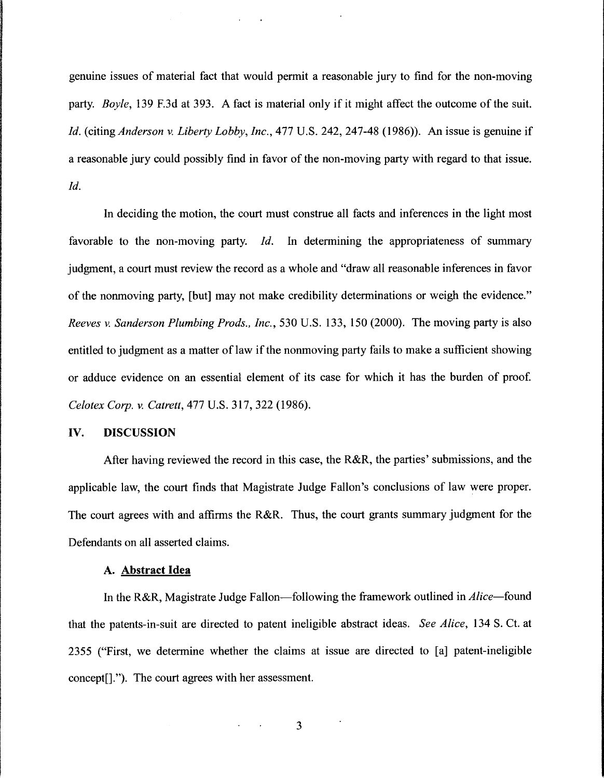genuine issues of material fact that would permit a reasonable jury to find for the non-moving party. *Boyle,* 139 F.3d at 393. A fact is material only if it might affect the outcome of the suit. *Id.* (citing *Anderson v. Liberty Lobby, Inc.,* 477 U.S. 242, 247-48 (1986)). An issue is genuine if a reasonable jury could possibly find in favor of the non-moving party with regard to that issue. *Id.* 

In deciding the motion, the court must construe all facts and inferences in the light most favorable to the non-moving party. *Id.* In determining the appropriateness of summary judgment, a court must review the record as a whole and "draw all reasonable inferences in favor of the nonmoving party, [but] may not make credibility determinations or weigh the evidence." *Reeves v. Sanderson Plumbing Prods., Inc.,* 530 U.S. 133, 150 (2000). The moving party is also entitled to judgment as a matter of law if the nonmoving party fails to make a sufficient showing or adduce evidence on an essential element of its case for which it has the burden of proof. *Celotex Corp. v. Catrett,* 477 U.S. 317, 322 (1986).

#### **IV. DISCUSSION**

After having reviewed the record in this case, the R&R, the parties' submissions, and the applicable law, the court finds that Magistrate Judge Fallon's conclusions of law were proper. The court agrees with and affirms the R&R. Thus, the court grants summary judgment for the Defendants on all asserted claims.

### **A. Abstract Idea**

In the R&R, Magistrate Judge Fallon—following the framework outlined in *Alice*—found that the patents-in-suit are directed to patent ineligible abstract ideas. *See Alice,* 134 S. Ct. at 2355 ("First, we determine whether the claims at issue are directed to [a] patent-ineligible concept[]."). The court agrees with her assessment.

3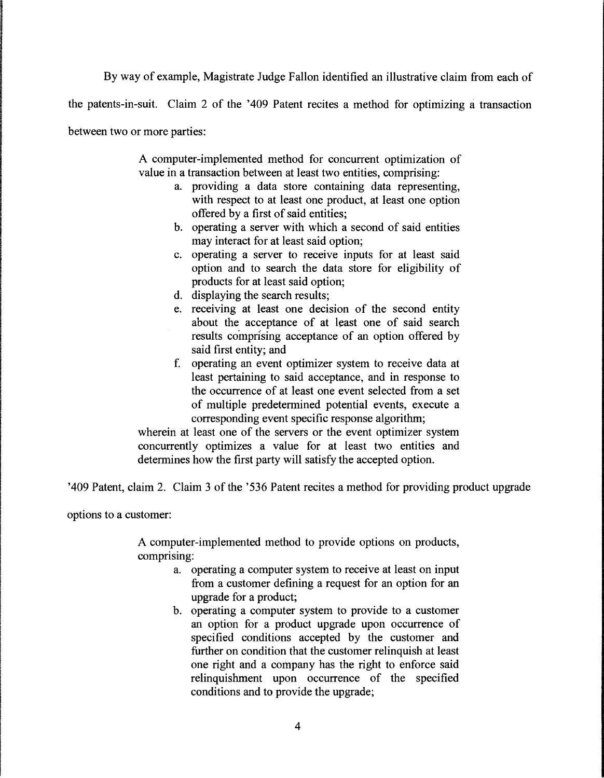By way of example, Magistrate Judge Fallon identified an illustrative claim from each of

the patents-in-suit. Claim 2 of the '409 Patent recites a method for optimizing a transaction

between two or more parties:

A computer-implemented method for concurrent optimization of value in a transaction between at least two entities, comprising:

- a. providing a data store containing data representing, with respect to at least one product, at least one option offered by a first of said entities;
- b. operating a server with which a second of said entities may interact for at least said option;
- c. operating a server to receive inputs for at least said option and to search the data store for eligibility of products for at least said option;
- d. displaying the search results;
- e. receiving at least one decision of the second entity about the acceptance of at least one of said search results comprising acceptance of an option offered by said first entity; and
- f. operating an event optimizer system to receive data at least pertaining to said acceptance, and in response to the occurrence of at least one event selected from a set of multiple predetermined potential events, execute a corresponding event specific response algorithm;

wherein at least one of the servers or the event optimizer system concurrently optimizes a value for at least two entities and determines how the first party will satisfy the accepted option.

'409 Patent, claim 2. Claim 3 of the '536 Patent recites a method for providing product upgrade

options to a customer:

A computer-implemented method to provide options on products, comprising:

- a. operating a computer system to receive at least on input from a customer defining a request for an option for an upgrade for a product;
- b. operating a computer system to provide to a customer an option for a product upgrade upon occurrence of specified conditions accepted by the customer and further on condition that the customer relinquish at least one right and a company has the right to enforce said relinquishment upon occurrence of the specified conditions and to provide the upgrade;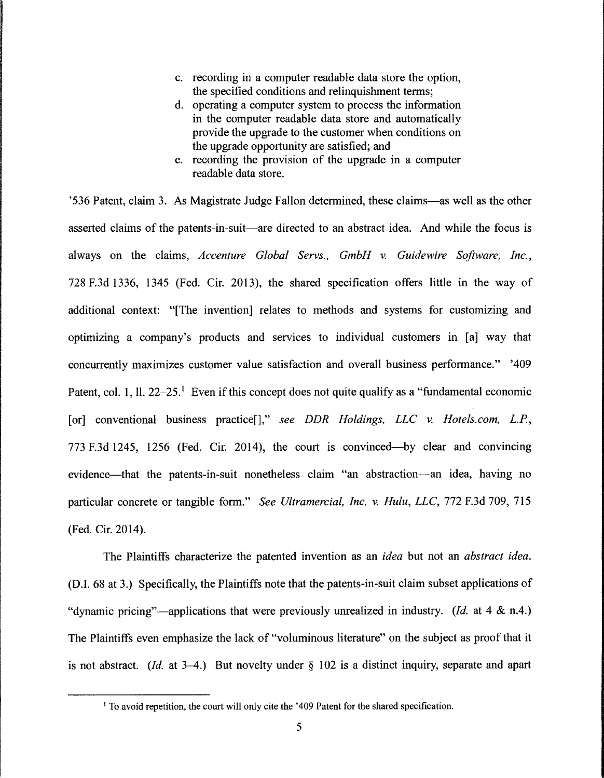- c. recording in a computer readable data store the option, the specified conditions and relinquishment terms;
- d. operating a computer system to process the information in the computer readable data store and automatically provide the upgrade to the customer when conditions on the upgrade opportunity are satisfied; and
- e. recording the provision of the upgrade in a computer readable data store.

'536 Patent, claim 3. As Magistrate Judge Fallon determined, these claims-as well as the other asserted claims of the patents-in-suit—are directed to an abstract idea. And while the focus is always on the claims, *Accenture Global Servs., GmbH v. Guidewire Software, Inc.,*  728 F.3d 1336, 1345 (Fed. Cir. 2013), the shared specification offers little in the way of additional context: "[The invention] relates to methods and systems for customizing and optimizing a company's products and services to individual customers in [a] way that concurrently maximizes customer value satisfaction and overall business performance." '409 Patent, col. 1, 11. 22–25.<sup>1</sup> Even if this concept does not quite qualify as a "fundamental economic [or] conventional business practice[]," *see DDR Holdings, LLC* v. *Hotels.com, L.P.,*  773 F.3d 1245, 1256 (Fed. Cir. 2014), the court is convinced-by clear and convincing evidence—that the patents-in-suit nonetheless claim "an abstraction—an idea, having no particular concrete or tangible form." *See Ultramercial, Inc. v. Hutu, LLC,* 772 F.3d 709, 715 (Fed. Cir. 2014).

The Plaintiffs characterize the patented invention as an *idea* but not an *abstract idea.*  (D.I. 68 at 3.) Specifically, the Plaintiffs note that the patents-in-suit claim subset applications of "dynamic pricing"—applications that were previously unrealized in industry. *(Id.* at 4 & n.4.) The Plaintiffs even emphasize the lack of "voluminous literature" on the subject as proof that it is not abstract. *(Id. at 3-4.)* But novelty under  $\S$  102 is a distinct inquiry, separate and apart

<sup>&</sup>lt;sup>1</sup> To avoid repetition, the court will only cite the '409 Patent for the shared specification.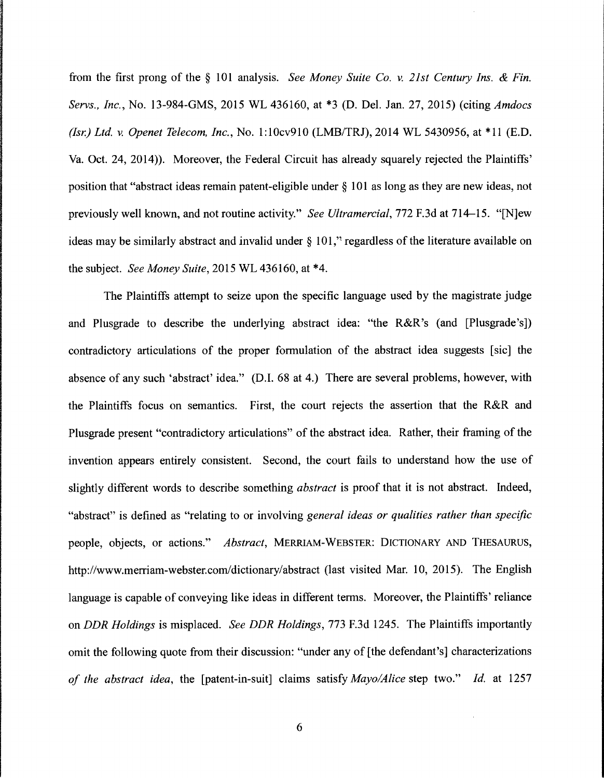from the first prong of the § 101 analysis. *See Money Suite Co. v. 21st Century Ins.* & *Fin. Servs., Inc.,* No. 13-984-GMS, 2015 WL 436160, at \*3 (D. Del. Jan. 27, 2015) (citing *Amdocs (Isr.) Ltd. v. Openet Telecom, Inc.,* No. 1:10cv910 (LMB/TRJ), 2014 WL 5430956, at \*11 (E.D. Va. Oct. 24, 2014)). Moreover, the Federal Circuit has already squarely rejected the Plaintiffs' position that "abstract ideas remain patent-eligible under§ 101 as long as they are new ideas, not previously well known, and not routine activity." *See Ultramercial,* 772 F.3d at 714-15. "(N]ew ideas may be similarly abstract and invalid under  $\S$  101," regardless of the literature available on the subject. *See Money Suite,* 2015 WL 436160, at \*4.

The Plaintiffs attempt to seize upon the specific language used by the magistrate judge and Plusgrade to describe the underlying abstract idea: "the R&R's (and [Plusgrade's]) contradictory articulations of the proper formulation of the abstract idea suggests [sic] the absence of any such 'abstract' idea." (D.I. 68 at 4.) There are several problems, however, with the Plaintiffs focus on semantics. First, the court rejects the assertion that the R&R and Plusgrade present "contradictory articulations" of the abstract idea. Rather, their framing of the invention appears entirely consistent. Second, the court fails to understand how the use of slightly different words to describe something *abstract* is proof that it is not abstract. Indeed, "abstract" is defined as "relating to or involving *general ideas or qualities rather than specific*  people, objects, or actions." *Abstract,* MERRIAM-WEBSTER: DICTIONARY AND THESAURUS, http://www.merriam-webster.com/dictionary/abstract (last visited Mar. 10, 2015). The English language is capable of conveying like ideas in different terms. Moreover, the Plaintiffs' reliance on *DDR Holdings* is misplaced. *See DDR Holdings,* 773 F.3d 1245. The Plaintiffs importantly omit the following quote from their discussion: "under any of [the defendant's] characterizations *of the abstract idea,* the [patent-in-suit] claims satisfy *Mayo/Alice* step two." *Id.* at 1257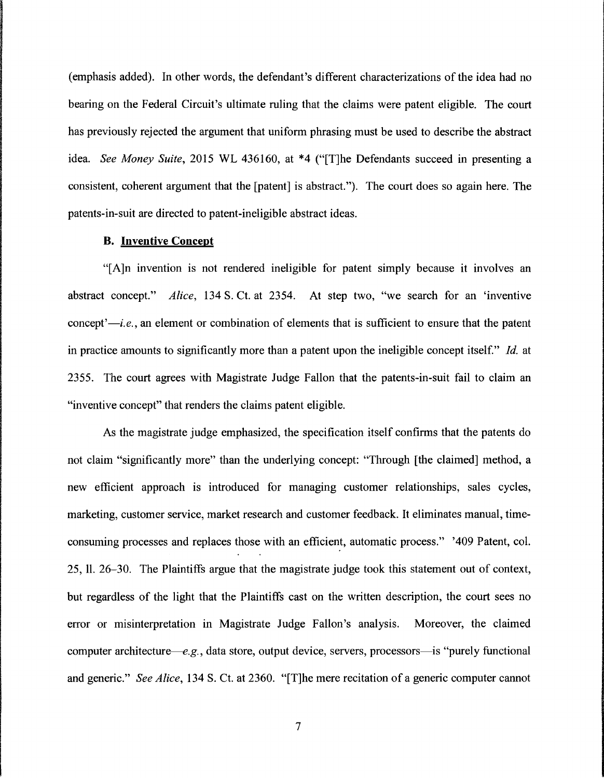(emphasis added). In other words, the defendant's different characterizations of the idea had no bearing on the Federal Circuit's ultimate ruling that the claims were patent eligible. The court has previously rejected the argument that uniform phrasing must be used to describe the abstract idea. *See Money Suite,* 2015 WL 436160, at \*4 ("[T]he Defendants succeed in presenting a consistent, coherent argument that the [patent] is abstract."). The court does so again here. The patents-in-suit are directed to patent-ineligible abstract ideas.

#### **B. Inventive Concept**

"[A]n invention is not rendered ineligible for patent simply because it involves an abstract concept." *Alice,* 134 S. Ct. at 2354. At step two, "we search for an 'inventive concept' $-i.e.,$  an element or combination of elements that is sufficient to ensure that the patent in practice amounts to significantly more than a patent upon the ineligible concept itself." *Id.* at 2355. The court agrees with Magistrate Judge Fallon that the patents-in-suit fail to claim an "inventive concept" that renders the claims patent eligible.

As the magistrate judge emphasized, the specification itself confirms that the patents do not claim "significantly more" than the underlying concept: "Through [the claimed] method, a new efficient approach is introduced for managing customer relationships, sales cycles, marketing, customer service, market research and customer feedback. It eliminates manual, timeconsuming processes and replaces those with an efficient, automatic process." '409 Patent, col. 25, 11. 26-30. The Plaintiffs argue that the magistrate judge took this statement out of context, but regardless of the light that the Plaintiffs cast on the written description, the court sees no error or misinterpretation in Magistrate Judge Fallon's analysis. Moreover, the claimed computer architecture—e.g., data store, output device, servers, processors—is "purely functional and generic." *See Alice,* 134 S. Ct. at 2360. "[T]he mere recitation of a generic computer cannot

7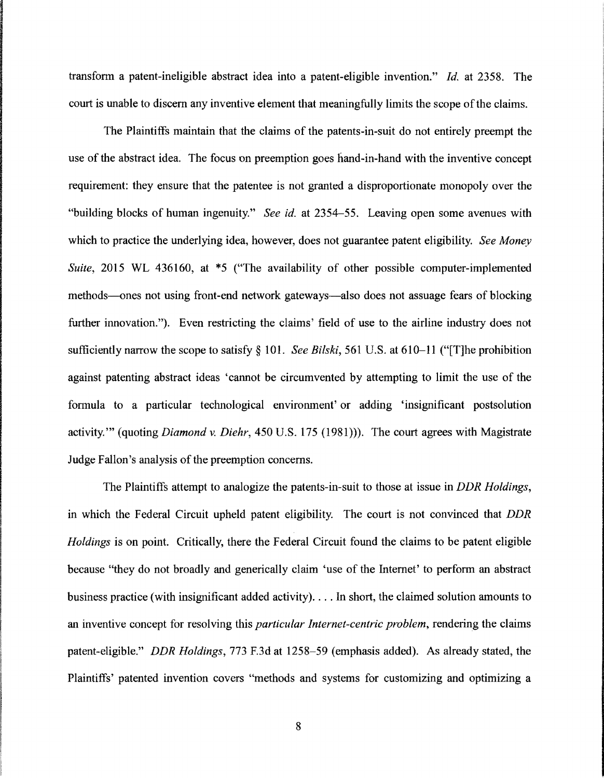transform a patent-ineligible abstract idea into a patent-eligible invention." *Id.* at 2358. The court is unable to discern any inventive element that meaningfully limits the scope of the claims.

The Plaintiffs maintain that the claims of the patents-in-suit do not entirely preempt the use of the abstract idea. The focus on preemption goes hand-in-hand with the inventive concept requirement: they ensure that the patentee is not granted a disproportionate monopoly over the "building blocks of human ingenuity." *See id.* at 2354-55. Leaving open some avenues with which to practice the underlying idea, however, does not guarantee patent eligibility. *See Money Suite,* 2015 WL 436160, at \*5 ("The availability of other possible computer-implemented methods—ones not using front-end network gateways—also does not assuage fears of blocking further innovation."). Even restricting the claims' field of use to the airline industry does not sufficiently narrow the scope to satisfy§ 101. *See Bilski,* 561 U.S. at 610-11 ("[T]he prohibition against patenting abstract ideas 'cannot be circumvented by attempting to limit the use of the formula to a particular technological environment' or adding 'insignificant postsolution activity."' (quoting *Diamond v. Diehr,* 450 U.S. 175 (1981))). The court agrees with Magistrate Judge Fallon's analysis of the preemption concerns.

The Plaintiffs attempt to analogize the patents-in-suit to those at issue in *DDR Holdings,*  in which the Federal Circuit upheld patent eligibility. The court is not convinced that *DDR Holdings* is on point. Critically, there the Federal Circuit found the claims to be patent eligible because "they do not broadly and generically claim 'use of the Internet' to perform an abstract business practice (with insignificant added activity) .... In short, the claimed solution amounts to an inventive concept for resolving this *particular Internet-centric problem,* rendering the claims patent-eligible." *DDR Holdings,* 773 F.3d at 1258-59 (emphasis added). As already stated, the Plaintiffs' patented invention covers "methods and systems for customizing and optimizing a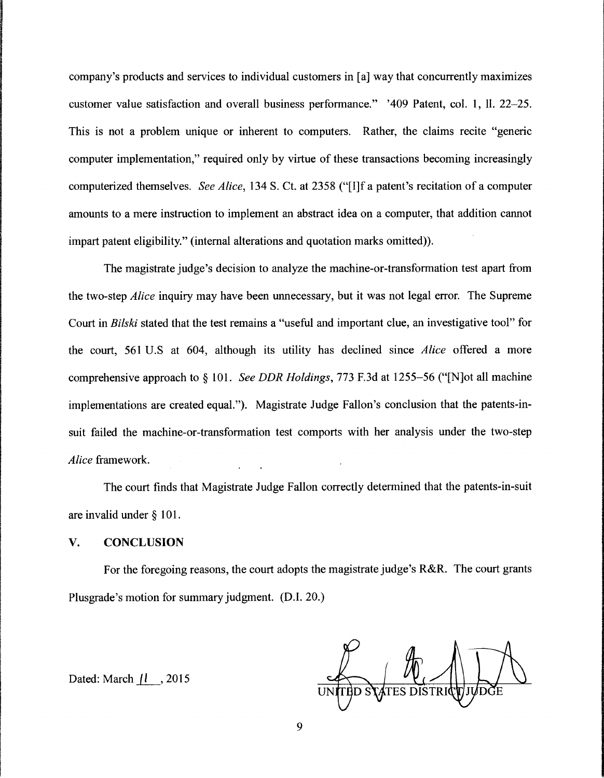company's products and services to individual customers in [a] way that concurrently maximizes customer value satisfaction and overall business performance." '409 Patent, col. 1, 11. 22-25. This is not a problem unique or inherent to computers. Rather, the claims recite "generic computer implementation," required only by virtue of these transactions becoming increasingly computerized themselves. *See Alice,* 134 S. Ct. at 2358 ("[I]f a patent's recitation of a computer amounts to a mere instruction to implement an abstract idea on a computer, that addition cannot impart patent eligibility." (internal alterations and quotation marks omitted)).

The magistrate judge's decision to analyze the machine-or-transformation test apart from the two-step *Alice* inquiry may have been unnecessary, but it was not legal error. The Supreme Court in *Bilski* stated that the test remains a "useful and important clue, an investigative tool" for the court, 561 U.S at 604, although its utility has declined since *Alice* offered a more comprehensive approach to§ 101. *See DDR Holdings,* 773 F.3d at 1255-56 ("[N]ot all machine implementations are created equal."). Magistrate Judge Fallon's conclusion that the patents-insuit failed the machine-or-transformation test comports with her analysis under the two-step *Alice* framework.

The court finds that Magistrate Judge Fallon correctly determined that the patents-in-suit are invalid under § 101.

#### **V. CONCLUSION**

For the foregoing reasons, the court adopts the magistrate judge's R&R. The court grants Plusgrade's motion for summary judgment. (D.I. 20.)

Dated: March  $|l \rangle$ , 2015

**TES DISTRIC**